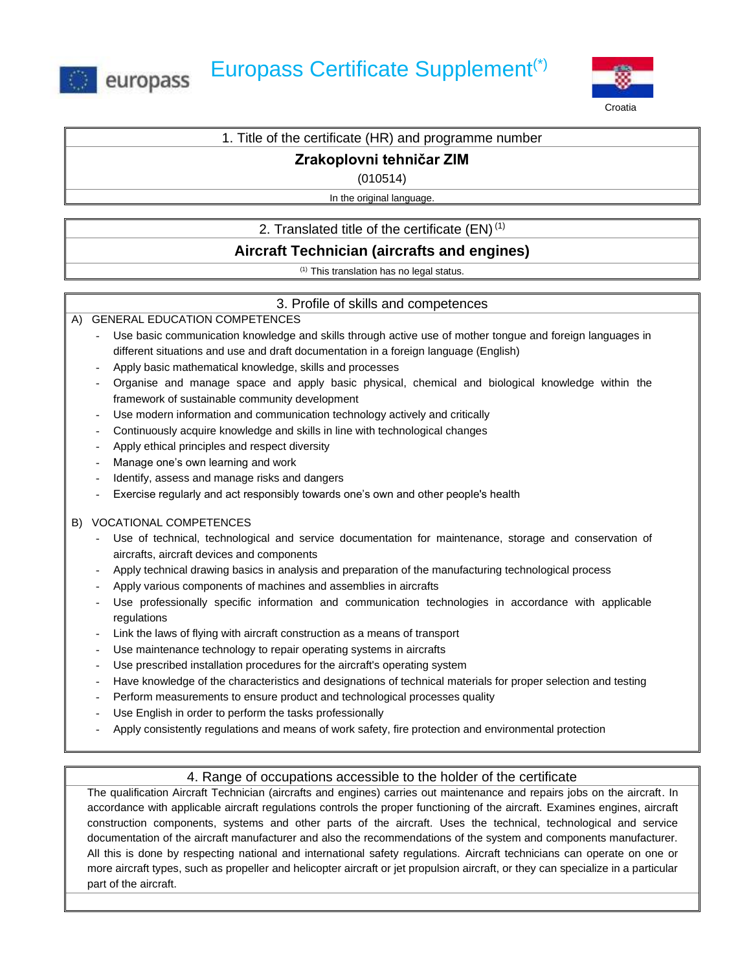



### 1. Title of the certificate (HR) and programme number

## **Zrakoplovni tehničar ZIM**

(010514)

In the original language.

## 2. Translated title of the certificate  $(EN)^{(1)}$

# **Aircraft Technician (aircrafts and engines)**

(1) This translation has no legal status.

## 3. Profile of skills and competences

### A) GENERAL EDUCATION COMPETENCES

- Use basic communication knowledge and skills through active use of mother tongue and foreign languages in different situations and use and draft documentation in a foreign language (English)
- Apply basic mathematical knowledge, skills and processes
- Organise and manage space and apply basic physical, chemical and biological knowledge within the framework of sustainable community development
- Use modern information and communication technology actively and critically
- Continuously acquire knowledge and skills in line with technological changes
- Apply ethical principles and respect diversity
- Manage one's own learning and work
- Identify, assess and manage risks and dangers
- Exercise regularly and act responsibly towards one's own and other people's health

### B) VOCATIONAL COMPETENCES

- Use of technical, technological and service documentation for maintenance, storage and conservation of aircrafts, aircraft devices and components
- Apply technical drawing basics in analysis and preparation of the manufacturing technological process
- Apply various components of machines and assemblies in aircrafts
- Use professionally specific information and communication technologies in accordance with applicable regulations
- Link the laws of flying with aircraft construction as a means of transport
- Use maintenance technology to repair operating systems in aircrafts
- Use prescribed installation procedures for the aircraft's operating system
- Have knowledge of the characteristics and designations of technical materials for proper selection and testing
- Perform measurements to ensure product and technological processes quality
- Use English in order to perform the tasks professionally
- Apply consistently regulations and means of work safety, fire protection and environmental protection

## 4. Range of occupations accessible to the holder of the certificate

The qualification Aircraft Technician (aircrafts and engines) carries out maintenance and repairs jobs on the aircraft. In accordance with applicable aircraft regulations controls the proper functioning of the aircraft. Examines engines, aircraft construction components, systems and other parts of the aircraft. Uses the technical, technological and service documentation of the aircraft manufacturer and also the recommendations of the system and components manufacturer. All this is done by respecting national and international safety regulations. Aircraft technicians can operate on one or more aircraft types, such as propeller and helicopter aircraft or jet propulsion aircraft, or they can specialize in a particular part of the aircraft.